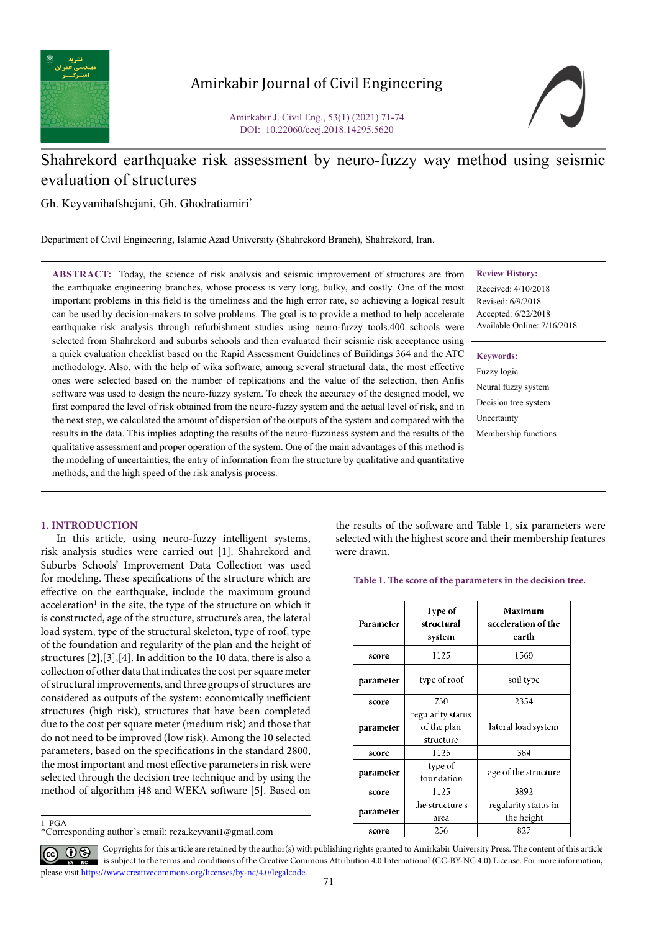

# Amirkabir Journal of Civil Engineering

Amirkabir J. Civil Eng., 53(1) (2021) 71-74 DOI: 10.22060/ceej.2018.14295.5620



# Shahrekord earthquake risk assessment by neuro-fuzzy way method using seismic evaluation of structures

Gh. Keyvanihafshejani, Gh. Ghodratiamiri\*

Department of Civil Engineering, Islamic Azad University (Shahrekord Branch), Shahrekord, Iran.

**ABSTRACT:** Today, the science of risk analysis and seismic improvement of structures are from the earthquake engineering branches, whose process is very long, bulky, and costly. One of the most important problems in this field is the timeliness and the high error rate, so achieving a logical result can be used by decision-makers to solve problems. The goal is to provide a method to help accelerate earthquake risk analysis through refurbishment studies using neuro-fuzzy tools.400 schools were selected from Shahrekord and suburbs schools and then evaluated their seismic risk acceptance using a quick evaluation checklist based on the Rapid Assessment Guidelines of Buildings 364 and the ATC methodology. Also, with the help of wika software, among several structural data, the most effective ones were selected based on the number of replications and the value of the selection, then Anfis software was used to design the neuro-fuzzy system. To check the accuracy of the designed model, we first compared the level of risk obtained from the neuro-fuzzy system and the actual level of risk, and in the next step, we calculated the amount of dispersion of the outputs of the system and compared with the results in the data. This implies adopting the results of the neuro-fuzziness system and the results of the qualitative assessment and proper operation of the system. One of the main advantages of this method is the modeling of uncertainties, the entry of information from the structure by qualitative and quantitative methods, and the high speed of the risk analysis process.

### **Review History:**

Received: 4/10/2018 Revised: 6/9/2018 Accepted: 6/22/2018 Available Online: 7/16/2018

#### **Keywords:**

Fuzzy logic Neural fuzzy system Decision tree system **Uncertainty** Membership functions

# **1. INTRODUCTION**

1  PGA

In this article, using neuro-fuzzy intelligent systems, risk analysis studies were carried out [1]. Shahrekord and Suburbs Schools' Improvement Data Collection was used for modeling. These specifications of the structure which are effective on the earthquake, include the maximum ground acceleration<sup>1</sup> in the site, the type of the structure on which it is constructed, age of the structure, structure's area, the lateral load system, type of the structural skeleton, type of roof, type of the foundation and regularity of the plan and the height of structures [2],[3],[4]. In addition to the 10 data, there is also a collection of other data that indicates the cost per square meter of structural improvements, and three groups of structures are considered as outputs of the system: economically inefficient structures (high risk), structures that have been completed due to the cost per square meter (medium risk) and those that do not need to be improved (low risk). Among the 10 selected parameters, based on the specifications in the standard 2800, the most important and most effective parameters in risk were selected through the decision tree technique and by using the method of algorithm j48 and WEKA software [5]. Based on

\*Corresponding author's email: reza.keyvani1@gmail.com

the results of the software and Table 1, six parameters were selected with the highest score and their membership features were drawn.

**Table 1. The score of the parameters in the decision tree.**

| Parameter | Type of<br>structural<br>system               | Maximum<br>acceleration of the<br>earth |  |  |  |
|-----------|-----------------------------------------------|-----------------------------------------|--|--|--|
| score     | 1125                                          | 1560                                    |  |  |  |
| parameter | type of roof                                  | soil type                               |  |  |  |
| score     | 730                                           | 2354                                    |  |  |  |
| parameter | regularity status<br>of the plan<br>structure | lateral load system                     |  |  |  |
| score     | 1125                                          | 384                                     |  |  |  |
| parameter | type of<br>foundation                         | age of the structure                    |  |  |  |
| score     | 1125                                          | 3892                                    |  |  |  |
| parameter | the structure's<br>area                       | regularity status in<br>the height      |  |  |  |
| score     | 256                                           | 827                                     |  |  |  |

Copyrights for this article are retained by the author(s) with publishing rights granted to Amirkabir University Press. The content of this article is subject to the terms and conditions of the Creative Commons Attribution 4.0 International (CC-BY-NC 4.0) License. For more information, please visit https://www.creativecommons.org/licenses/by-nc/4.0/legalcode.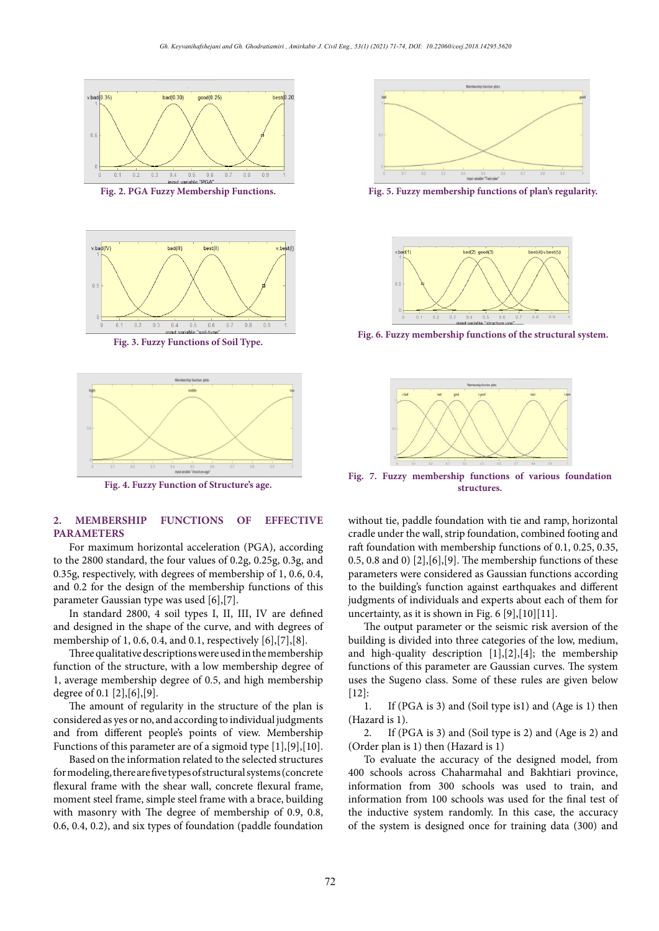



**Fig. 3. Fuzzy Functions of Soil Type.**



**Figure 4. Fuzzy Function of Structure's age. Fig. 4. Fuzzy Function of Structure's age.**

### **2. MEMBERSHIP FUNCTIONS OF EFFECTIVE PARAMETERS**

For maximum horizontal acceleration (PGA), according to the 2800 standard, the four values of 0.2g, 0.25g, 0.3g, and 0.35g, respectively, with degrees of membership of 1, 0.6, 0.4, and 0.2 for the design of the membership functions of this parameter Gaussian type was used [6],[7].

In standard 2800, 4 soil types I, II, III, IV are defined and designed in the shape of the curve, and with degrees of membership of 1, 0.6, 0.4, and 0.1, respectively [6],[7],[8].

Three qualitative descriptions were used in the membership function of the structure, with a low membership degree of 1, average membership degree of 0.5, and high membership degree of 0.1 [2],[6],[9].

The amount of regularity in the structure of the plan is considered as yes or no, and according to individual judgments and from different people's points of view. Membership Functions of this parameter are of a sigmoid type [1],[9],[10].

Based on the information related to the selected structures for modeling, there are five types of structural systems (concrete flexural frame with the shear wall, concrete flexural frame, moment steel frame, simple steel frame with a brace, building with masonry with The degree of membership of 0.9, 0.8, 0.6, 0.4, 0.2), and six types of foundation (paddle foundation



**Figure 5. Fuzzy membership functions of plan's regularity. Fig. 2. PGA Fuzzy Membership Functions. Fig. 5. Fuzzy membership functions of plan's regularity.**



Fig. 6. Fuzzy membership functions of the structural system.



**Fig. 7. Fuzzy membership functions of various foundation structures.**

without tie, paddle foundation with tie and ramp, horizontal cradle under the wall, strip foundation, combined footing and raft foundation with membership functions of 0.1, 0.25, 0.35, 0.5, 0.8 and 0)  $[2]$ ,  $[6]$ ,  $[9]$ . The membership functions of these parameters were considered as Gaussian functions according to the building's function against earthquakes and different judgments of individuals and experts about each of them for uncertainty, as it is shown in Fig.  $6$  [9],[10][11].

The output parameter or the seismic risk aversion of the building is divided into three categories of the low, medium, and high-quality description [1],[2],[4]; the membership functions of this parameter are Gaussian curves. The system uses the Sugeno class. Some of these rules are given below  $[12]$ :

1. If (PGA is 3) and (Soil type is1) and (Age is 1) then (Hazard is 1).

2. If (PGA is 3) and (Soil type is 2) and (Age is 2) and (Order plan is 1) then (Hazard is 1)

To evaluate the accuracy of the designed model, from 400 schools across Chaharmahal and Bakhtiari province, information from 300 schools was used to train, and information from 100 schools was used for the final test of the inductive system randomly. In this case, the accuracy of the system is designed once for training data (300) and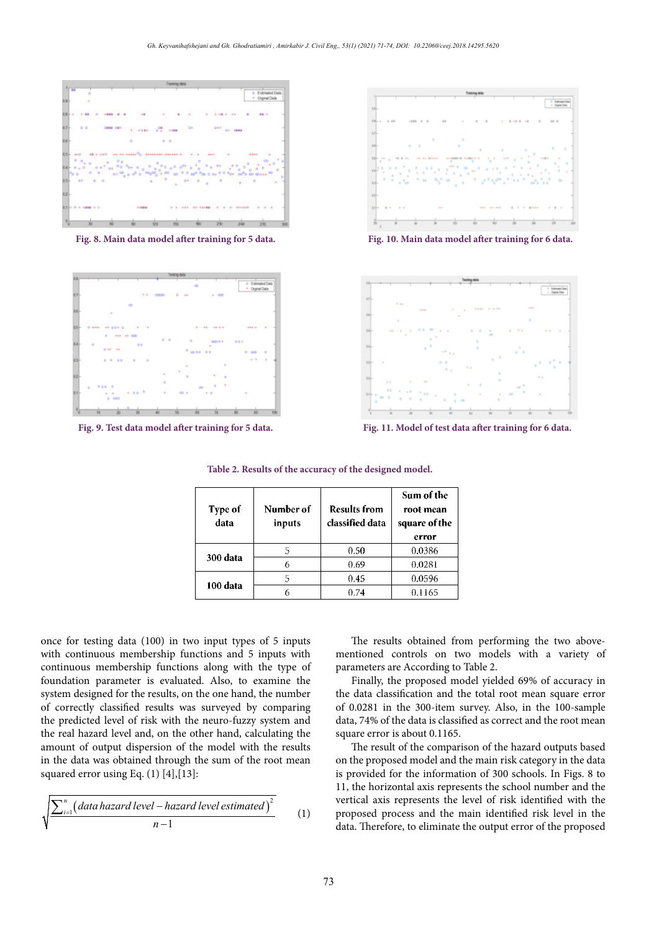

**Figure 8. Main data model after training for 5 data. Fig. 8. Main data model after training for 5 data.**



**Figure 9. Test data model after training for 5 data. Fig. 9. Test data model after training for 5 data.**



**Fig. 10. Main data model after training for 6 data.**



**Figure 11. Model of test data after training for 6 data. Fig. 11. Model of test data after training for 6 data.**

**Table 2. Results of the accuracy of the designed model.**

| Type of<br>. .<br>data | Number of<br>inputs | <b>Results from</b><br>classified data | Sum of the<br>root mean<br>square of the<br>error |
|------------------------|---------------------|----------------------------------------|---------------------------------------------------|
| 300 data               |                     | 0.50                                   | 0.0386                                            |
|                        |                     | 0.69                                   | 0.0281                                            |
| 100 data               |                     | 0.45                                   | 0.0596                                            |
|                        |                     | 0.74                                   | 0.1165                                            |

once for testing data (100) in two input types of 5 inputs with continuous membership functions and 5 inputs with continuous membership functions along with the type of foundation parameter is evaluated. Also, to examine the system designed for the results, on the one hand, the number of correctly classified results was surveyed by comparing the predicted level of risk with the neuro-fuzzy system and the real hazard level and, on the other hand, calculating the amount of output dispersion of the model with the results in the data was obtained through the sum of the root mean squared error using Eq.  $(1)$  [4], [13]:

$$
\sqrt{\frac{\sum_{i=1}^{n} (data hazard level - hazard level estimated)^2}{n-1}}
$$
 (1)

The results obtained from performing the two abovementioned controls on two models with a variety of parameters are According to Table 2.

Finally, the proposed model yielded 69% of accuracy in the data classification and the total root mean square error of 0.0281 in the 300-item survey. Also, in the 100-sample data, 74% of the data is classified as correct and the root mean square error is about 0.1165.

The result of the comparison of the hazard outputs based on the proposed model and the main risk category in the data is provided for the information of 300 schools. In Figs. 8 to 11, the horizontal axis represents the school number and the vertical axis represents the level of risk identified with the proposed process and the main identified risk level in the data. Therefore, to eliminate the output error of the proposed